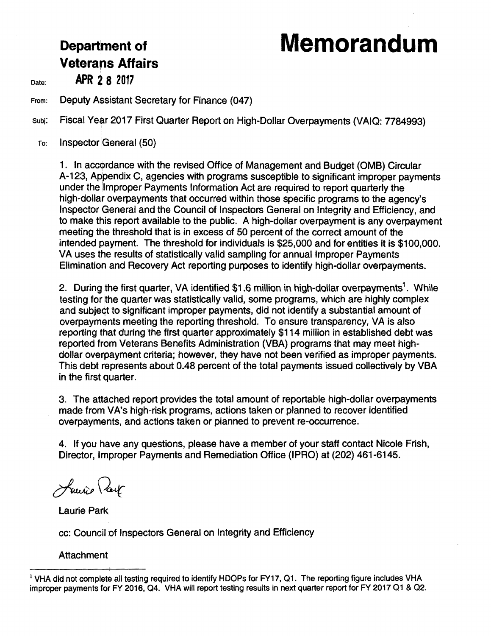# **Department of Memorandum**

# **Veterans Affairs**

Date: **APR 28 2017** 

From: Deputy Assistant Secretary for Finance (047)

subj: Fiscal Year 2017 First Quarter Report on High-Dollar Overpayments (VAIQ: 7784993)

To: Inspector General (50)

1. In accordance with the revised Office of Management and Budget (0MB) Circular A-123, Appendix C, agencies with programs susceptible to significant improper payments under the Improper Payments Information Act are required to report quarterly the high-dollar overpayments that occurred within those specific programs to the agency's Inspector General and the Council of Inspectors General on Integrity and Efficiency, and to make this report available to the public. A high-dollar overpayment is any overpayment meeting the threshold that is in excess of 50 percent of the correct amount of the intended payment. The threshold for individuals is \$25,000 and for entities it is \$100,000. VA uses the results of statistically valid sampling for annual Improper Payments Elimination and Recovery Act reporting purposes to identify high-dollar overpayments.

2. During the first quarter, VA identified \$1.6 million in high-dollar overpayments<sup>1</sup>. While testing for the quarter was statistically valid, some programs, which are highly complex and subject to significant improper payments, did not identify a substantial amount of overpayments meeting the reporting threshold. To ensure transparency, VA is aJso reporting that during the first quarter approximately \$114 million in established debt was reported from Veterans Benefits Administration (VBA) programs that may meet highdollar overpayment criteria; however, they have not been verified as improper payments. This debt represents about 0.48 percent of the total payments issued collectively by VBA in the first quarter.

3. The attached report provides the total amount of reportable high-dollar overpayments made from VA's high-risk programs, actions taken or planned to recover identified overpayments, and actions taken or planned to prevent re-occurrence.

4. If you have any questions, please have a member of your staff contact Nicole Frish, Director, Improper Payments and Remediation Office (IPRO) at (202) 461-6145.

Louise Part

Laurie Park

cc: Council of Inspectors General on Integrity and Efficiency

### **Attachment**

 $<sup>1</sup>$  VHA did not complete all testing required to identify HDOPs for FY17, Q1. The reporting figure includes VHA</sup> improper payments for FY 2016, 04. VHA will report testing results in next quarter report for FY 2017 01 & 02.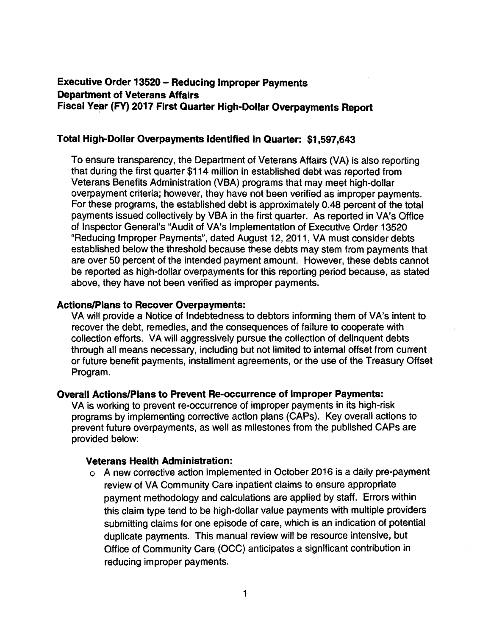## **Executive Order 13520 - Reducing Improper Payments Department of Veterans Affairs Fiscal Year (FY) 2017 First Quarter High-Dollar Overpayments Report**

#### **Total High-Dollar Overpayments Identified in Quarter: \$1,597,643**

To ensure transparency, the Department of Veterans Affairs (VA) is also reporting that during the first quarter \$114 million in established debt was reported from Veterans Benefits Administration (VBA) programs that may meet high-dollar overpayment criteria; however, they have not been verified as improper payments. For these programs, the established debt is approximately 0.48 percent of the total payments issued collectively by VBA in the first quarter. As reported in VA's Office of Inspector General's "Audit of VA's Implementation of Executive Order 13520 "Reducing Improper Payments", dated August 12, 2011, VA must consider debts established below the threshold because these debts may stem from payments that are over 50 percent of the intended payment amount. However, these debts cannot be reported as high-dollar overpayments for this reporting period because, as stated above, they have not been verified as improper payments.

#### **Actions/Plans to Recover Overpayments:**

VA will provide a Notice of Indebtedness to debtors informing them of VA's intent to recover the debt, remedies, and the consequences of failure to cooperate with collection efforts. VA will aggressively pursue the collection of delinquent debts through all means necessary, including but not limited to internal offset from current or future benefit payments, installment agreements, or the use of the Treasury Offset Program.

#### **Overall Actions/Plans to Prevent Re-occurrence of Improper Payments:**

VA is working to prevent re-occurrence of improper payments in its high-risk programs by implementing corrective action plans (CAPs). Key overall actions to prevent future overpayments, as well as milestones from the published CAPs are provided below:

#### **Veterans Health Administration:**

o A new corrective action implemented in October 2016 is a daily pre-payment review of VA Community Care inpatient claims to ensure appropriate payment methodology and calculations are applied by staff. Errors within this claim type tend to be high-dollar value payments with multiple providers submitting claims for one episode of care, which is an indication of potential duplicate payments. This manual review will be resource intensive, but Office of Community Care (OCC) anticipates a significant contribution in reducing improper payments.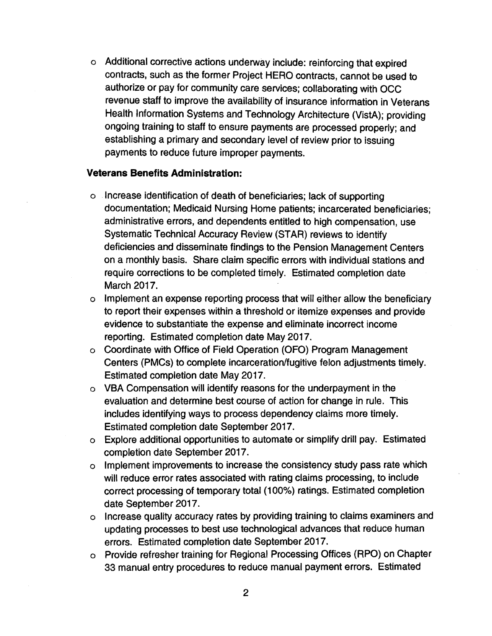o Additional corrective actions underway include: reinforcing that expired contracts, such as the former Project HERO contracts, cannot be used to authorize or pay for community care services; collaborating with OCC revenue staff to improve the availability of insurance information in Veterans Health Information Systems and Technology Architecture (VistA); providing ongoing training to staff to ensure payments are processed properly; and establishing a primary and secondary level of review prior to issuing payments to reduce future improper payments.

#### **Veterans Benefits Administration:**

- o Increase identification of death of beneficiaries; lack of supporting documentation; Medicaid Nursing Home patients; incarcerated beneficiaries; administrative errors, and dependents entitled to high compensation, use Systematic Technical Accuracy Review (STAR) reviews to identify deficiencies and disseminate findings to the Pension Management Centers on a monthly basis. Share claim specific errors with individual stations and require corrections to be completed timely. Estimated completion date March 2017.
- o Implement an expense reporting process that will either allow the beneficiary to report their expenses within a threshold or itemize expenses and provide evidence to substantiate the expense and eliminate incorrect income reporting. Estimated completion date May 2017.
- o Coordinate with Office of Field Operation (OFO) Program Management Centers (PMCs) to complete incarceration/fugitive felon adjustments timely. Estimated completion date May 2017.
- o VBA Compensation will identify reasons for the underpayment in the evaluation and determine best course of action for change in rule. This includes identifying ways to process dependency claims more timely. Estimated completion date September 2017.
- o Explore additional opportunities to automate or simplify drill pay. Estimated completion date September 2017.
- o Implement improvements to increase the consistency study pass rate which will reduce error rates associated with rating claims processing, to include correct processing of temporary total (100%) ratings. Estimated completion date September 2017.
- o Increase quality accuracy rates by providing training to claims examiners and updating processes to best use technological advances that reduce human errors. Estimated completion date September 2017.
- o Provide refresher training for Regional Processing Offices (RPO) on Chapter 33 manual entry procedures to reduce manual payment errors. Estimated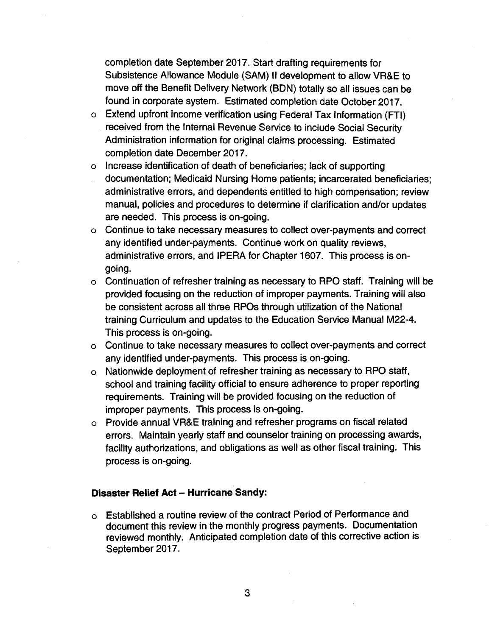completion date September 2017. Start drafting requirements for Subsistence Allowance Module (SAM} II development to allow VR&E to move off the Benefit Delivery Network (BON) totally so all issues can be found in corporate system. Estimated completion date October 2017.

- o Extend upfront income verification using Federal Tax Information (FTI) received from the Internal Revenue Service to include Social Security Administration information for original claims processing. Estimated completion date December 2017.
- o Increase identification of death of beneficiaries; lack of supporting documentation; Medicaid Nursing Home patients; incarcerated beneficiaries; administrative errors, and dependents entitled to high compensation; review manual, policies and procedures to determine if clarification and/or updates are needed. This process is on-going.
- o Continue to take necessary measures to collect over-payments and correct any identified under-payments. Continue work on quality reviews, administrative errors, and IPERA for Chapter 1607. This process is ongoing.
- o Continuation of refresher training as necessary to RPO staff. Training will be provided focusing on the reduction of improper payments. Training will also be consistent across all three RPOs through utilization of the National training Curriculum and updates to the Education Service Manual M22-4. This process is on-going.
- o Continue to take necessary measures to collect over-payments and correct any identified under-payments. This process is on-going.
- o Nationwide deployment of refresher training as necessary to RPO staff, school and training facility official to ensure adherence to proper reporting requirements. Training will be provided focusing on the reduction of improper payments. This process is on-going.
- o Provide annual VR&E training and refresher programs on fiscal related errors. Maintain yearly staff and counselor training on processing awards, facility authorizations, and obligations as well as other fiscal training. This process is on-going.

#### **Disaster Relief Act - Hurricane Sandy:**

o Established a routine review of the contract Period of Performance and document this review in the monthly progress payments. Documentation reviewed monthly. Anticipated completion date of this corrective action is September 2017.